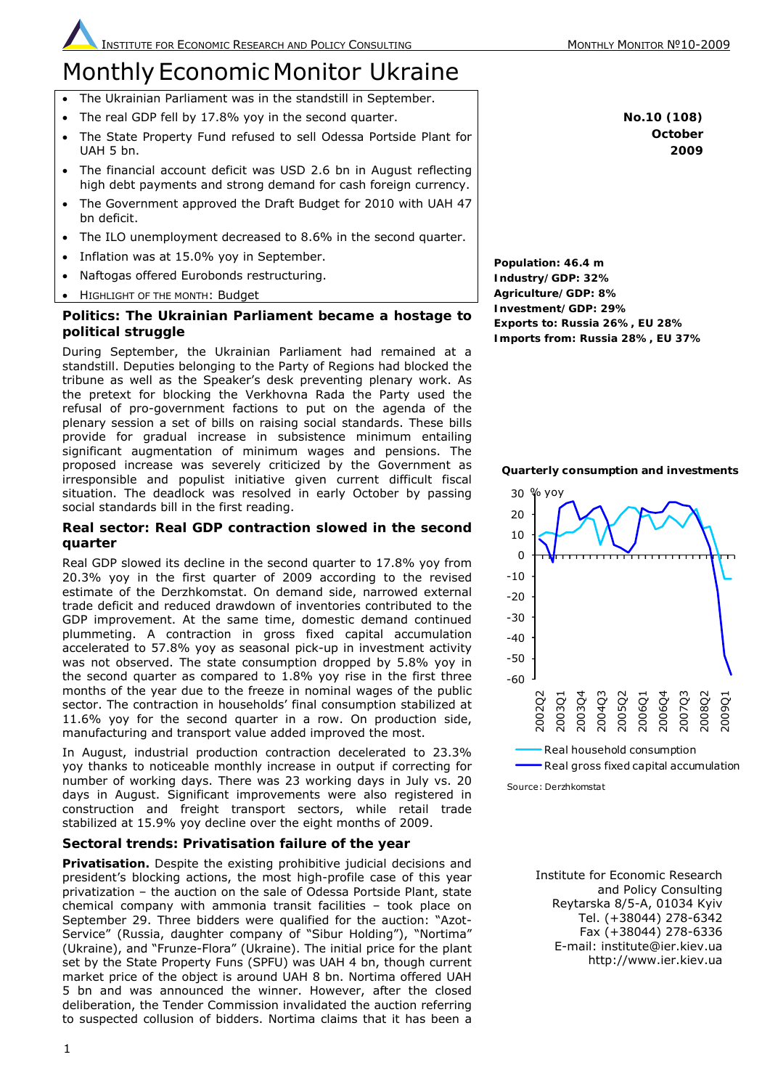# **Monthly Economic Monitor Ukraine**

- The Ukrainian Parliament was in the standstill in September.
- The real GDP fell by 17.8% yoy in the second quarter.
- The State Property Fund refused to sell Odessa Portside Plant for UAH 5 bn.
- The financial account deficit was USD 2.6 bn in August reflecting high debt payments and strong demand for cash foreign currency.
- The Government approved the Draft Budget for 2010 with UAH 47 bn deficit.
- The ILO unemployment decreased to 8.6% in the second quarter.
- Inflation was at 15.0% yoy in September.
- Naftogas offered Eurobonds restructuring.
- HIGHLIGHT OF THE MONTH: Budget

# **Politics: The Ukrainian Parliament became a hostage to political struggle**

During September, the Ukrainian Parliament had remained at a standstill. Deputies belonging to the Party of Regions had blocked the tribune as well as the Speaker's desk preventing plenary work. As the pretext for blocking the Verkhovna Rada the Party used the refusal of pro-government factions to put on the agenda of the plenary session a set of bills on raising social standards. These bills provide for gradual increase in subsistence minimum entailing significant augmentation of minimum wages and pensions. The proposed increase was severely criticized by the Government as irresponsible and populist initiative given current difficult fiscal situation. The deadlock was resolved in early October by passing social standards bill in the first reading.

# **Real sector: Real GDP contraction slowed in the second quarter**

Real GDP slowed its decline in the second quarter to 17.8% yoy from 20.3% yoy in the first quarter of 2009 according to the revised estimate of the Derzhkomstat. On demand side, narrowed external trade deficit and reduced drawdown of inventories contributed to the GDP improvement. At the same time, domestic demand continued plummeting. A contraction in gross fixed capital accumulation accelerated to 57.8% yoy as seasonal pick-up in investment activity was not observed. The state consumption dropped by 5.8% yoy in the second quarter as compared to 1.8% yoy rise in the first three months of the year due to the freeze in nominal wages of the public sector. The contraction in households' final consumption stabilized at 11.6% yoy for the second quarter in a row. On production side, manufacturing and transport value added improved the most.

In August, industrial production contraction decelerated to 23.3% yoy thanks to noticeable monthly increase in output if correcting for number of working days. There was 23 working days in July vs. 20 days in August. Significant improvements were also registered in construction and freight transport sectors, while retail trade stabilized at 15.9% yoy decline over the eight months of 2009.

# **Sectoral trends: Privatisation failure of the year**

*Privatisation.* Despite the existing prohibitive judicial decisions and president's blocking actions, the most high-profile case of this year privatization – the auction on the sale of Odessa Portside Plant, state chemical company with ammonia transit facilities – took place on September 29. Three bidders were qualified for the auction: "Azot-Service" (Russia, daughter company of "Sibur Holding"), "Nortima" (Ukraine), and "Frunze-Flora" (Ukraine). The initial price for the plant set by the State Property Funs (SPFU) was UAH 4 bn, though current market price of the object is around UAH 8 bn. Nortima offered UAH 5 bn and was announced the winner. However, after the closed deliberation, the Tender Commission invalidated the auction referring to suspected collusion of bidders. Nortima claims that it has been a

**No.10 (108) October 2009** 

**Population: 46.4 m Industry/GDP: 32% Agriculture/GDP: 8% Investment/GDP: 29% Exports to: Russia 26%, EU 28% Imports from: Russia 28%, EU 37%**

#### **Quarterly consumption and investments**



Source: Derzhkomstat

Institute for Economic Research and Policy Consulting Reytarska 8/5-A, 01034 Kyiv Tel. (+38044) 278-6342 Fax (+38044) 278-6336 E-mail: institute@ier.kiev.ua http://www.ier.kiev.ua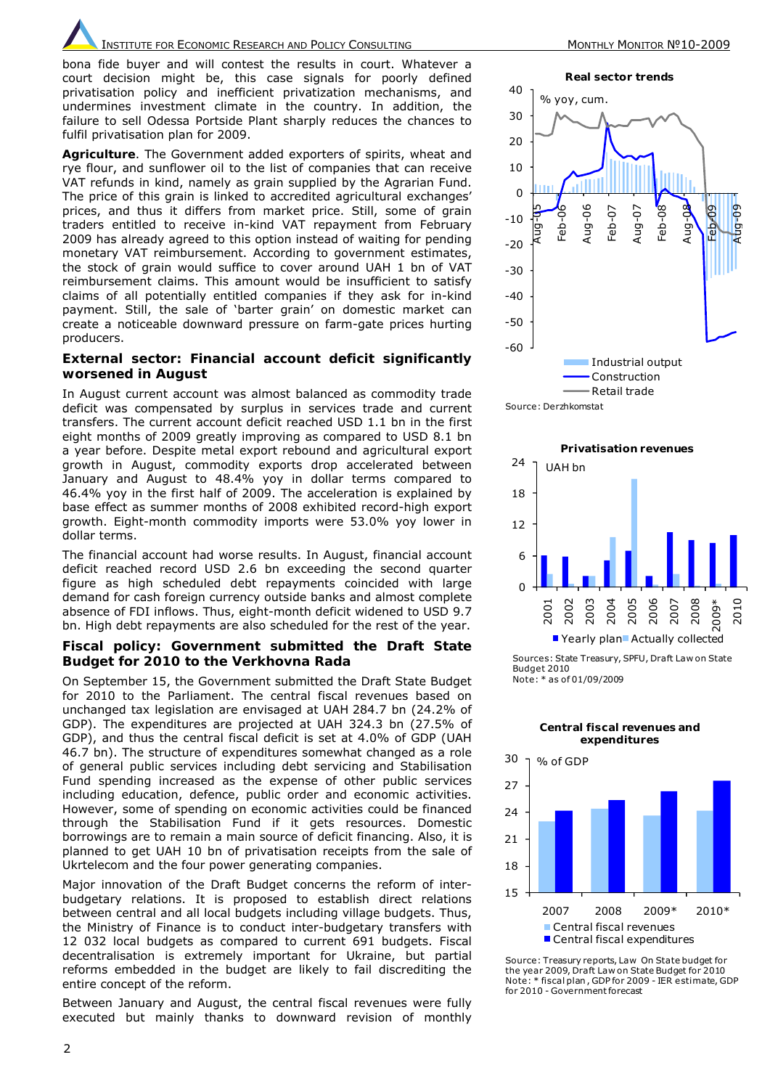INSTITUTE FOR ECONOMIC RESEARCH AND POLICY CONSULTING MONTHLY MONTHLY MONITOR Nº10-2009

*bona fide* buyer and will contest the results in court. Whatever a court decision might be, this case signals for poorly defined privatisation policy and inefficient privatization mechanisms, and undermines investment climate in the country. In addition, the failure to sell Odessa Portside Plant sharply reduces the chances to fulfil privatisation plan for 2009.

*Agriculture*. The Government added exporters of spirits, wheat and rye flour, and sunflower oil to the list of companies that can receive VAT refunds in kind, namely as grain supplied by the Agrarian Fund. The price of this grain is linked to accredited agricultural exchanges' prices, and thus it differs from market price. Still, some of grain traders entitled to receive in-kind VAT repayment from February 2009 has already agreed to this option instead of waiting for pending monetary VAT reimbursement. According to government estimates, the stock of grain would suffice to cover around UAH 1 bn of VAT reimbursement claims. This amount would be insufficient to satisfy claims of all potentially entitled companies if they ask for in-kind payment. Still, the sale of 'barter grain' on domestic market can create a noticeable downward pressure on farm-gate prices hurting producers.

#### **External sector: Financial account deficit significantly worsened in August**

In August current account was almost balanced as commodity trade deficit was compensated by surplus in services trade and current transfers. The current account deficit reached USD 1.1 bn in the first eight months of 2009 greatly improving as compared to USD 8.1 bn a year before. Despite metal export rebound and agricultural export growth in August, commodity exports drop accelerated between January and August to 48.4% yoy in dollar terms compared to 46.4% yoy in the first half of 2009. The acceleration is explained by base effect as summer months of 2008 exhibited record-high export growth. Eight-month commodity imports were 53.0% yoy lower in dollar terms.

The financial account had worse results. In August, financial account deficit reached record USD 2.6 bn exceeding the second quarter figure as high scheduled debt repayments coincided with large demand for cash foreign currency outside banks and almost complete absence of FDI inflows. Thus, eight-month deficit widened to USD 9.7 bn. High debt repayments are also scheduled for the rest of the year.

#### **Fiscal policy: Government submitted the Draft State Budget for 2010 to the Verkhovna Rada**

On September 15, the Government submitted the Draft State Budget for 2010 to the Parliament. The central fiscal revenues based on unchanged tax legislation are envisaged at UAH 284.7 bn (24.2% of GDP). The expenditures are projected at UAH 324.3 bn (27.5% of GDP), and thus the central fiscal deficit is set at 4.0% of GDP (UAH 46.7 bn). The structure of expenditures somewhat changed as a role of general public services including debt servicing and Stabilisation Fund spending increased as the expense of other public services including education, defence, public order and economic activities. However, some of spending on economic activities could be financed through the Stabilisation Fund if it gets resources. Domestic borrowings are to remain a main source of deficit financing. Also, it is planned to get UAH 10 bn of privatisation receipts from the sale of Ukrtelecom and the four power generating companies.

Major innovation of the Draft Budget concerns the reform of interbudgetary relations. It is proposed to establish direct relations between central and all local budgets including village budgets. Thus, the Ministry of Finance is to conduct inter-budgetary transfers with 12 032 local budgets as compared to current 691 budgets. Fiscal decentralisation is extremely important for Ukraine, but partial reforms embedded in the budget are likely to fail discrediting the entire concept of the reform.

Between January and August, the central fiscal revenues were fully executed but mainly thanks to downward revision of monthly



Source: Derzhkomstat



Sources: State Treasury, SPFU, Draft Law on State Budget 2010 Note: \* as of 01/09/2009

**Central fiscal revenues and** 



Source: Treasury reports, Law On State budget for the year 2009, Draft Law on State Budget for 2010 Note: \* fiscal plan , GDP for 2009 - IER estimate, GDP for 2010 - Government forecast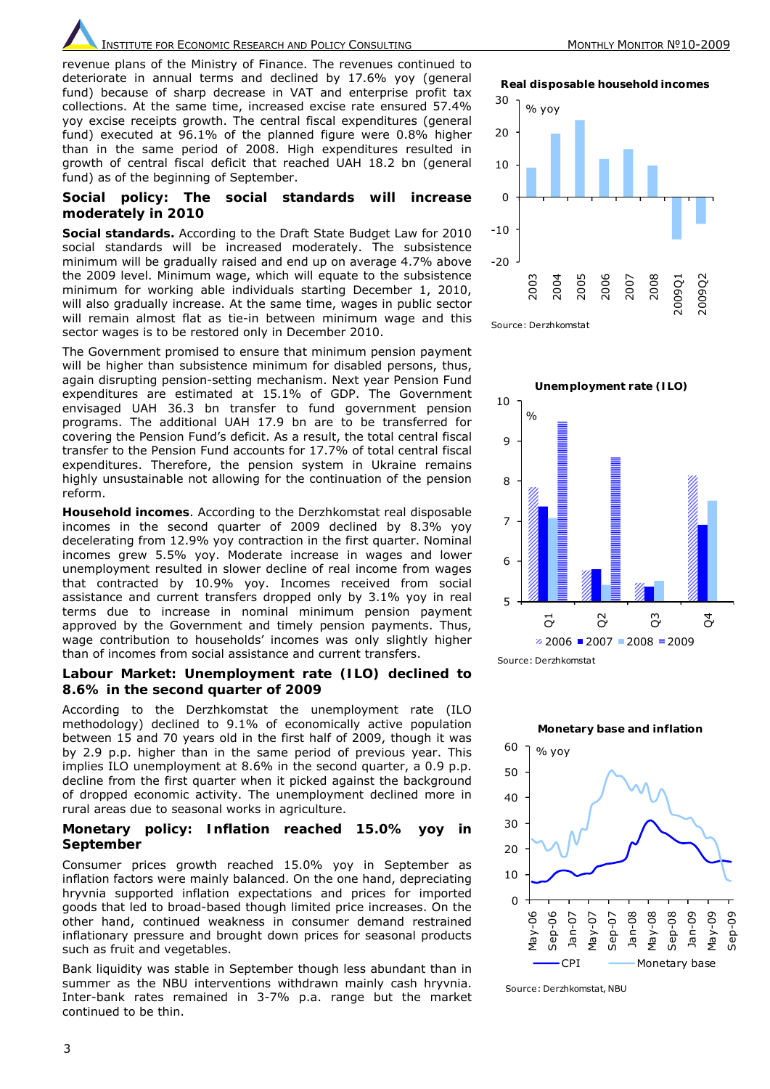**INSTITUTE FOR ECONOMIC RESEARCH AND POLICY CONSULTING MONTHLY MONTHLY MONTHLY MONTOR Nº10-2009** 

revenue plans of the Ministry of Finance. The revenues continued to deteriorate in annual terms and declined by 17.6% yoy (general fund) because of sharp decrease in VAT and enterprise profit tax collections. At the same time, increased excise rate ensured 57.4% yoy excise receipts growth. The central fiscal expenditures (general fund) executed at 96.1% of the planned figure were 0.8% higher than in the same period of 2008. High expenditures resulted in growth of central fiscal deficit that reached UAH 18.2 bn (general fund) as of the beginning of September.

#### **Social policy: The social standards will increase moderately in 2010**

*Social standards.* According to the Draft State Budget Law for 2010 social standards will be increased moderately. The subsistence minimum will be gradually raised and end up on average 4.7% above the 2009 level. Minimum wage, which will equate to the subsistence minimum for working able individuals starting December 1, 2010, will also gradually increase. At the same time, wages in public sector will remain almost flat as tie-in between minimum wage and this sector wages is to be restored only in December 2010.

The Government promised to ensure that minimum pension payment will be higher than subsistence minimum for disabled persons, thus, again disrupting pension-setting mechanism. Next year Pension Fund expenditures are estimated at 15.1% of GDP. The Government envisaged UAH 36.3 bn transfer to fund government pension programs. The additional UAH 17.9 bn are to be transferred for covering the Pension Fund's deficit. As a result, the total central fiscal transfer to the Pension Fund accounts for 17.7% of total central fiscal expenditures. Therefore, the pension system in Ukraine remains highly unsustainable not allowing for the continuation of the pension reform.

*Household incomes*. According to the Derzhkomstat real disposable incomes in the second quarter of 2009 declined by 8.3% yoy decelerating from 12.9% yoy contraction in the first quarter. Nominal incomes grew 5.5% yoy. Moderate increase in wages and lower unemployment resulted in slower decline of real income from wages that contracted by 10.9% yoy. Incomes received from social assistance and current transfers dropped only by 3.1% yoy in real terms due to increase in nominal minimum pension payment approved by the Government and timely pension payments. Thus, wage contribution to households' incomes was only slightly higher than of incomes from social assistance and current transfers.

#### **Labour Market: Unemployment rate (ILO) declined to 8.6% in the second quarter of 2009**

According to the Derzhkomstat the unemployment rate (ILO methodology) declined to 9.1% of economically active population between 15 and 70 years old in the first half of 2009, though it was by 2.9 p.p. higher than in the same period of previous year. This implies ILO unemployment at 8.6% in the second quarter, a 0.9 p.p. decline from the first quarter when it picked against the background of dropped economic activity. The unemployment declined more in rural areas due to seasonal works in agriculture.

#### **Monetary policy: Inflation reached 15.0% yoy in September**

Consumer prices growth reached 15.0% yoy in September as inflation factors were mainly balanced. On the one hand, depreciating hryvnia supported inflation expectations and prices for imported goods that led to broad-based though limited price increases. On the other hand, continued weakness in consumer demand restrained inflationary pressure and brought down prices for seasonal products such as fruit and vegetables.

Bank liquidity was stable in September though less abundant than in summer as the NBU interventions withdrawn mainly cash hryvnia. Inter-bank rates remained in 3-7% p.a. range but the market continued to be thin.

**Real disposable household incomes**



Source: Derzhkomstat





Source: Derzhkomstat, NBU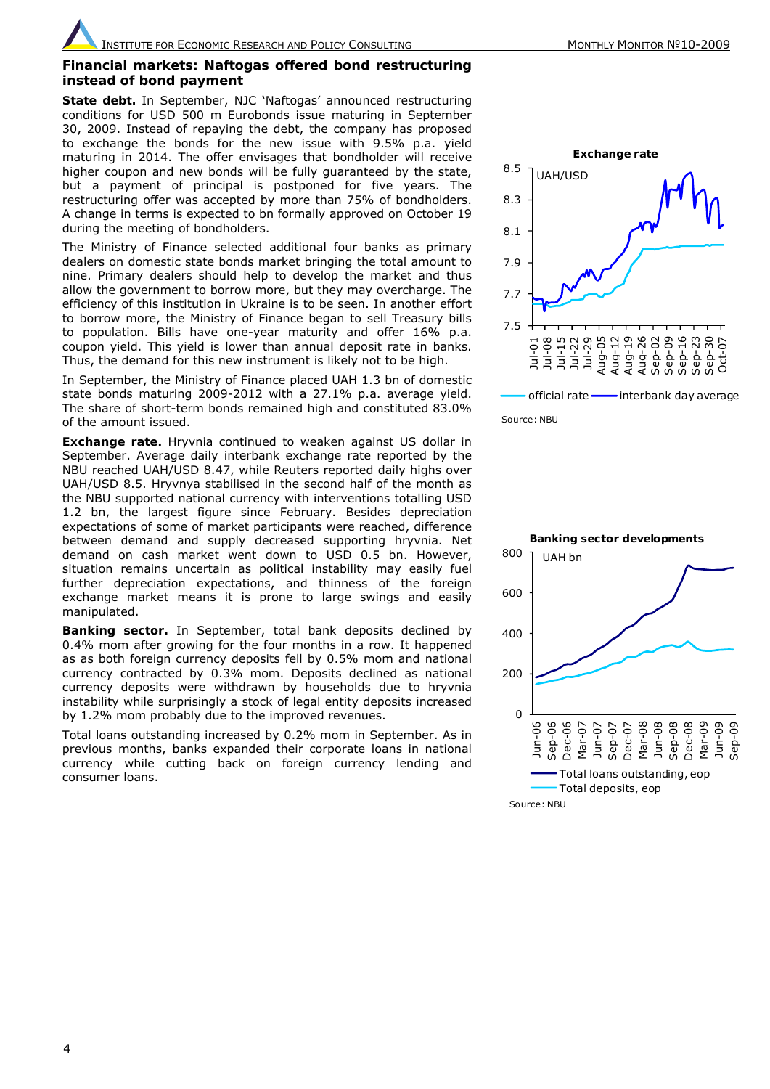#### **Financial markets: Naftogas offered bond restructuring instead of bond payment**

*State debt.* In September, NJC 'Naftogas' announced restructuring conditions for USD 500 m Eurobonds issue maturing in September 30, 2009. Instead of repaying the debt, the company has proposed to exchange the bonds for the new issue with 9.5% p.a. yield maturing in 2014. The offer envisages that bondholder will receive higher coupon and new bonds will be fully guaranteed by the state, but a payment of principal is postponed for five years. The restructuring offer was accepted by more than 75% of bondholders. A change in terms is expected to bn formally approved on October 19 during the meeting of bondholders.

The Ministry of Finance selected additional four banks as primary dealers on domestic state bonds market bringing the total amount to nine. Primary dealers should help to develop the market and thus allow the government to borrow more, but they may overcharge. The efficiency of this institution in Ukraine is to be seen. In another effort to borrow more, the Ministry of Finance began to sell Treasury bills to population. Bills have one-year maturity and offer 16% p.a. coupon yield. This yield is lower than annual deposit rate in banks. Thus, the demand for this new instrument is likely not to be high.

In September, the Ministry of Finance placed UAH 1.3 bn of domestic state bonds maturing 2009-2012 with a 27.1% p.a. average yield. The share of short-term bonds remained high and constituted 83.0% of the amount issued.

**Exchange rate.** Hryvnia continued to weaken against US dollar in September. Average daily interbank exchange rate reported by the NBU reached UAH/USD 8.47, while Reuters reported daily highs over UAH/USD 8.5. Hryvnya stabilised in the second half of the month as the NBU supported national currency with interventions totalling USD 1.2 bn, the largest figure since February. Besides depreciation expectations of some of market participants were reached, difference between demand and supply decreased supporting hryvnia. Net demand on cash market went down to USD 0.5 bn. However, situation remains uncertain as political instability may easily fuel further depreciation expectations, and thinness of the foreign exchange market means it is prone to large swings and easily manipulated.

*Banking sector.* In September, total bank deposits declined by 0.4% mom after growing for the four months in a row. It happened as as both foreign currency deposits fell by 0.5% mom and national currency contracted by 0.3% mom. Deposits declined as national currency deposits were withdrawn by households due to hryvnia instability while surprisingly a stock of legal entity deposits increased by 1.2% mom probably due to the improved revenues.

Total loans outstanding increased by 0.2% mom in September. As in previous months, banks expanded their corporate loans in national currency while cutting back on foreign currency lending and consumer loans.



Source: NBU

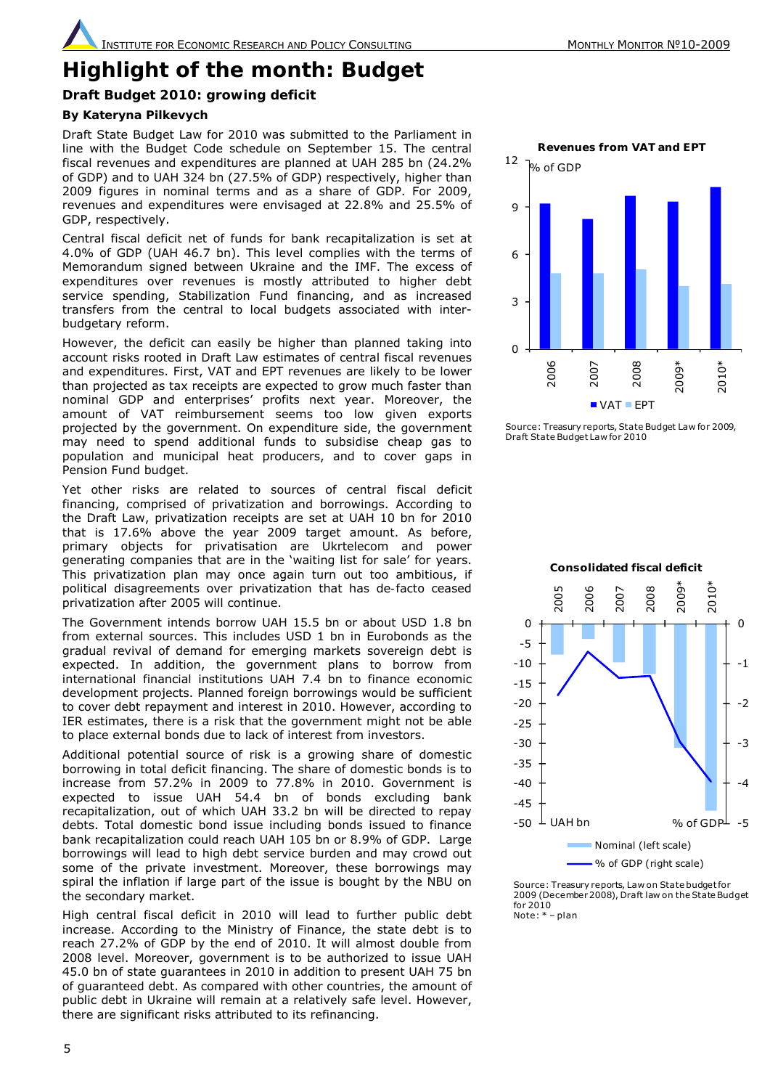# **Highlight of the month: Budget**

# **Draft Budget 2010: growing deficit**

# *By Kateryna Pilkevych*

Draft State Budget Law for 2010 was submitted to the Parliament in line with the Budget Code schedule on September 15. The central fiscal revenues and expenditures are planned at UAH 285 bn (24.2% of GDP) and to UAH 324 bn (27.5% of GDP) respectively, higher than 2009 figures in nominal terms and as a share of GDP. For 2009, revenues and expenditures were envisaged at 22.8% and 25.5% of GDP, respectively.

Сentral fiscal deficit net of funds for bank recapitalization is set at 4.0% of GDP (UAH 46.7 bn). This level complies with the terms of Memorandum signed between Ukraine and the IMF. The excess of expenditures over revenues is mostly attributed to higher debt service spending, Stabilization Fund financing, and as increased transfers from the central to local budgets associated with interbudgetary reform.

However, the deficit can easily be higher than planned taking into account risks rooted in Draft Law estimates of central fiscal revenues and expenditures. First, VAT and EPT revenues are likely to be lower than projected as tax receipts are expected to grow much faster than nominal GDP and enterprises' profits next year. Moreover, the amount of VAT reimbursement seems too low given exports projected by the government. On expenditure side, the government may need to spend additional funds to subsidise cheap gas to population and municipal heat producers, and to cover gaps in Pension Fund budget.

Yet other risks are related to sources of central fiscal deficit financing, comprised of privatization and borrowings. According to the Draft Law, privatization receipts are set at UAH 10 bn for 2010 that is 17.6% above the year 2009 target amount. As before, primary objects for privatisation are Ukrtelecom and power generating companies that are in the 'waiting list for sale' for years. This privatization plan may once again turn out too ambitious, if political disagreements over privatization that has *de-facto* ceased privatization after 2005 will continue.

The Government intends borrow UAH 15.5 bn or about USD 1.8 bn from external sources. This includes USD 1 bn in Eurobonds as the gradual revival of demand for emerging markets sovereign debt is expected. In addition, the government plans to borrow from international financial institutions UAH 7.4 bn to finance economic development projects. Planned foreign borrowings would be sufficient to cover debt repayment and interest in 2010. However, according to IER estimates, there is a risk that the government might not be able to place external bonds due to lack of interest from investors.

Additional potential source of risk is a growing share of domestic borrowing in total deficit financing. The share of domestic bonds is to increase from 57.2% in 2009 to 77.8% in 2010. Government is expected to issue UAH 54.4 bn of bonds excluding bank recapitalization, out of which UAH 33.2 bn will be directed to repay debts. Total domestic bond issue including bonds issued to finance bank recapitalization could reach UAH 105 bn or 8.9% of GDP. Large borrowings will lead to high debt service burden and may crowd out some of the private investment. Moreover, these borrowings may spiral the inflation if large part of the issue is bought by the NBU on the secondary market.

High central fiscal deficit in 2010 will lead to further public debt increase. According to the Ministry of Finance, the state debt is to reach 27.2% of GDP by the end of 2010. It will almost double from 2008 level. Moreover, government is to be authorized to issue UAH 45.0 bn of state guarantees in 2010 in addition to present UAH 75 bn of guaranteed debt. As compared with other countries, the amount of public debt in Ukraine will remain at a relatively safe level. However, there are significant risks attributed to its refinancing.



Source: Treasury reports, State Budget Law for 2009, Draft State Budget Law for 2010



Source: Treasury reports, Law on State budget for 2009 (December 2008), Draft law on the State Budget for 2010 Note: \* – plan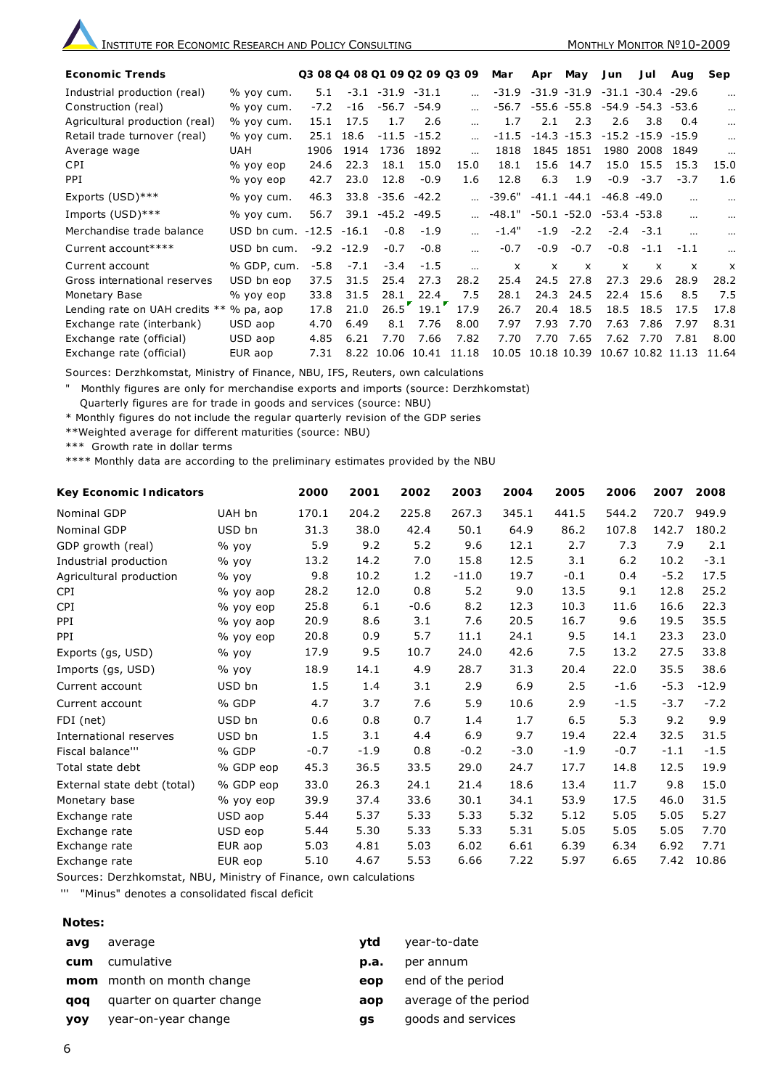| <b>Economic Trends</b>         |             | Q3 08 Q4 08 Q1 09 Q2 09 Q3 09 |               |                      |         |           | Mar                                      | Apr                       | May            | Jun                       | Jul               | Aug                       | Sep                       |
|--------------------------------|-------------|-------------------------------|---------------|----------------------|---------|-----------|------------------------------------------|---------------------------|----------------|---------------------------|-------------------|---------------------------|---------------------------|
| Industrial production (real)   | % yoy cum.  | 5.1                           |               | $-3.1 - 31.9 - 31.1$ |         |           | $-31.9$                                  |                           | $-31.9 - 31.9$ | $-31.1$                   | $-30.4 -29.6$     |                           | $\cdots$                  |
| Construction (real)            | % yoy cum.  | $-7.2$                        | $-16$         | -56.7                | $-54.9$ |           | $-56.7$                                  |                           | $-55.6 - 55.8$ |                           | -54.9 -54.3       | -53.6                     | $\cdots$                  |
| Agricultural production (real) | % yoy cum.  | 15.1                          | 17.5          | 1.7                  | 2.6     |           | 1.7                                      | 2.1                       | 2.3            | 2.6                       | 3.8               | 0.4                       | $\cdots$                  |
| Retail trade turnover (real)   | % yoy cum.  | 25.1                          | 18.6          | $-11.5$              | $-15.2$ |           | $-11.5$                                  |                           | $-14.3 -15.3$  |                           | $-15.2 -15.9$     | $-15.9$                   | $\cdots$                  |
| Average wage                   | <b>UAH</b>  | 1906                          | 1914          | 1736                 | 1892    | $\cdots$  | 1818                                     |                           | 1845 1851      | 1980                      | 2008              | 1849                      |                           |
| <b>CPI</b>                     | % yoy eop   | 24.6                          | 22.3          | 18.1                 | 15.0    | 15.0      | 18.1                                     | 15.6                      | 14.7           | 15.0                      | 15.5              | 15.3                      | 15.0                      |
| <b>PPI</b>                     | % yoy eop   | 42.7                          | 23.0          | 12.8                 | $-0.9$  | 1.6       | 12.8                                     | 6.3                       | 1.9            | $-0.9$                    | $-3.7$            | $-3.7$                    | 1.6                       |
| Exports (USD)***               | % yoy cum.  | 46.3                          |               | 33.8 -35.6           | $-42.2$ |           | $-39.6"$                                 |                           | $-41.1 - 44.1$ |                           | $-46.8 - 49.0$    |                           |                           |
| Imports (USD)***               | % yoy cum.  | 56.7                          |               | $39.1 - 45.2 - 49.5$ |         |           | $-48.1"$ $-50.1$ $-52.0$ $-53.4$ $-53.8$ |                           |                |                           |                   | $\cdots$                  |                           |
| Merchandise trade balance      | USD bn cum. | $-12.5 -16.1$                 |               | $-0.8$               | $-1.9$  |           | $-1.4"$                                  | $-1.9$                    | $-2.2$         |                           | $-2.4 -3.1$       | $\cdots$                  |                           |
| Current account****            | USD bn cum. |                               | $-9.2 - 12.9$ | $-0.7$               | $-0.8$  | $\ddotsc$ | $-0.7$                                   | $-0.9$                    | $-0.7$         | $-0.8$                    | $-1.1$            | $-1.1$                    |                           |
| Current account                | % GDP, cum. | $-5.8$                        | $-7.1$        | $-3.4$               | $-1.5$  | $\ddotsc$ | $\boldsymbol{\mathsf{x}}$                | $\boldsymbol{\mathsf{x}}$ | $\times$       | $\boldsymbol{\mathsf{x}}$ | $\mathsf{x}$      | $\boldsymbol{\mathsf{x}}$ | $\boldsymbol{\mathsf{x}}$ |
| Gross international reserves   | USD bn eop  | 37.5                          | 31.5          | 25.4                 | 27.3    | 28.2      | 25.4                                     | 24.5                      | 27.8           | 27.3                      | 29.6              | 28.9                      | 28.2                      |
| Monetary Base                  | $%$ yoy eop | 33.8                          | 31.5          | 28.1                 | 22.4    | 7.5       | 28.1                                     | 24.3                      | 24.5           | 22.4                      | 15.6              | 8.5                       | 7.5                       |
| Lending rate on UAH credits ** | $%$ pa, aop | 17.8                          | 21.0          | $26.5^{\degree}$     | 19.1    | 17.9      | 26.7                                     | 20.4                      | 18.5           | 18.5                      | 18.5              | 17.5                      | 17.8                      |
| Exchange rate (interbank)      | USD aop     | 4.70                          | 6.49          | 8.1                  | 7.76    | 8.00      | 7.97                                     | 7.93                      | 7.70           | 7.63                      | 7.86              | 7.97                      | 8.31                      |
| Exchange rate (official)       | USD aop     | 4.85                          | 6.21          | 7.70                 | 7.66    | 7.82      | 7.70                                     | 7.70                      | 7.65           | 7.62                      | 7.70              | 7.81                      | 8.00                      |
| Exchange rate (official)       | EUR aop     | 7.31                          | 8.22          | 10.06                | 10.41   | 11.18     | 10.05                                    | 10.18 10.39               |                |                           | 10.67 10.82 11.13 |                           | 11.64                     |

Sources: Derzhkomstat, Ministry of Finance, NBU, IFS, Reuters, own calculations

" Monthly figures are only for merchandise exports and imports (source: Derzhkomstat)

Quarterly figures are for trade in goods and services (source: NBU)

\* Monthly figures do not include the regular quarterly revision of the GDP series

\*\*Weighted average for different maturities (source: NBU)

\*\*\* Growth rate in dollar terms

\*\*\*\* Monthly data are according to the preliminary estimates provided by the NBU

| <b>Key Economic Indicators</b> |           | 2000   | 2001   | 2002   | 2003    | 2004   | 2005   | 2006   | 2007   | 2008    |
|--------------------------------|-----------|--------|--------|--------|---------|--------|--------|--------|--------|---------|
| Nominal GDP                    | UAH bn    | 170.1  | 204.2  | 225.8  | 267.3   | 345.1  | 441.5  | 544.2  | 720.7  | 949.9   |
| Nominal GDP                    | USD bn    | 31.3   | 38.0   | 42.4   | 50.1    | 64.9   | 86.2   | 107.8  | 142.7  | 180.2   |
| GDP growth (real)              | $%$ yoy   | 5.9    | 9.2    | 5.2    | 9.6     | 12.1   | 2.7    | 7.3    | 7.9    | 2.1     |
| Industrial production          | $%$ yoy   | 13.2   | 14.2   | 7.0    | 15.8    | 12.5   | 3.1    | 6.2    | 10.2   | $-3.1$  |
| Agricultural production        | $%$ yoy   | 9.8    | 10.2   | 1.2    | $-11.0$ | 19.7   | $-0.1$ | 0.4    | $-5.2$ | 17.5    |
| <b>CPI</b>                     | % yoy aop | 28.2   | 12.0   | 0.8    | 5.2     | 9.0    | 13.5   | 9.1    | 12.8   | 25.2    |
| <b>CPI</b>                     | % yoy eop | 25.8   | 6.1    | $-0.6$ | 8.2     | 12.3   | 10.3   | 11.6   | 16.6   | 22.3    |
| PPI                            | % yoy aop | 20.9   | 8.6    | 3.1    | 7.6     | 20.5   | 16.7   | 9.6    | 19.5   | 35.5    |
| <b>PPI</b>                     | % yoy eop | 20.8   | 0.9    | 5.7    | 11.1    | 24.1   | 9.5    | 14.1   | 23.3   | 23.0    |
| Exports (gs, USD)              | $%$ yoy   | 17.9   | 9.5    | 10.7   | 24.0    | 42.6   | 7.5    | 13.2   | 27.5   | 33.8    |
| Imports (gs, USD)              | $%$ yoy   | 18.9   | 14.1   | 4.9    | 28.7    | 31.3   | 20.4   | 22.0   | 35.5   | 38.6    |
| Current account                | USD bn    | 1.5    | 1.4    | 3.1    | 2.9     | 6.9    | 2.5    | $-1.6$ | $-5.3$ | $-12.9$ |
| Current account                | % GDP     | 4.7    | 3.7    | 7.6    | 5.9     | 10.6   | 2.9    | $-1.5$ | $-3.7$ | $-7.2$  |
| FDI (net)                      | USD bn    | 0.6    | 0.8    | 0.7    | 1.4     | 1.7    | 6.5    | 5.3    | 9.2    | 9.9     |
| International reserves         | USD bn    | 1.5    | 3.1    | 4.4    | 6.9     | 9.7    | 19.4   | 22.4   | 32.5   | 31.5    |
| Fiscal balance""               | % GDP     | $-0.7$ | $-1.9$ | 0.8    | $-0.2$  | $-3.0$ | $-1.9$ | $-0.7$ | $-1.1$ | $-1.5$  |
| Total state debt               | % GDP eop | 45.3   | 36.5   | 33.5   | 29.0    | 24.7   | 17.7   | 14.8   | 12.5   | 19.9    |
| External state debt (total)    | % GDP eop | 33.0   | 26.3   | 24.1   | 21.4    | 18.6   | 13.4   | 11.7   | 9.8    | 15.0    |
| Monetary base                  | % yoy eop | 39.9   | 37.4   | 33.6   | 30.1    | 34.1   | 53.9   | 17.5   | 46.0   | 31.5    |
| Exchange rate                  | USD aop   | 5.44   | 5.37   | 5.33   | 5.33    | 5.32   | 5.12   | 5.05   | 5.05   | 5.27    |
| Exchange rate                  | USD eop   | 5.44   | 5.30   | 5.33   | 5.33    | 5.31   | 5.05   | 5.05   | 5.05   | 7.70    |
| Exchange rate                  | EUR aop   | 5.03   | 4.81   | 5.03   | 6.02    | 6.61   | 6.39   | 6.34   | 6.92   | 7.71    |
| Exchange rate                  | EUR eop   | 5.10   | 4.67   | 5.53   | 6.66    | 7.22   | 5.97   | 6.65   | 7.42   | 10.86   |

Sources: Derzhkomstat, NBU, Ministry of Finance, own calculations

''' "Minus" denotes a consolidated fiscal deficit

#### **Notes:**

| avq        | average                   | vtd  | year-to-date          |
|------------|---------------------------|------|-----------------------|
| cum        | cumulative                | p.a. | per annum             |
|            | mom month on month change | eop  | end of the period     |
| aoa        | quarter on quarter change | aop  | average of the period |
| <b>VOV</b> | year-on-year change       | as   | goods and services    |